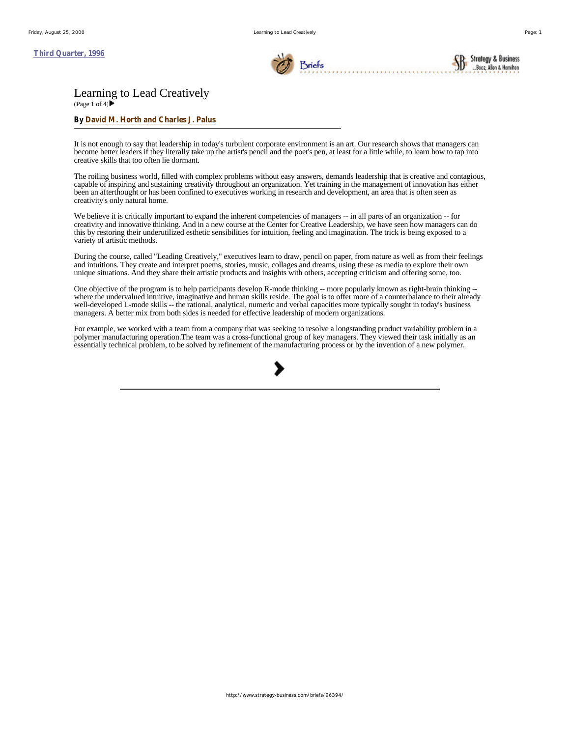**Third Quarter, 1996**



Briefs

**Strategy & Business** Booz, Allen & Homil

# Learning to Lead Creatively

(Page 1 of 4) $\blacktriangleright$ 

## **By David M. Horth and Charles J. Palus**

It is not enough to say that leadership in today's turbulent corporate environment is an art. Our research shows that managers can become better leaders if they literally take up the artist's pencil and the poet's pen, at least for a little while, to learn how to tap into creative skills that too often lie dormant.

The roiling business world, filled with complex problems without easy answers, demands leadership that is creative and contagious, capable of inspiring and sustaining creativity throughout an organization. Yet training in the management of innovation has either been an afterthought or has been confined to executives working in research and development, an area that is often seen as creativity's only natural home.

We believe it is critically important to expand the inherent competencies of managers -- in all parts of an organization -- for creativity and innovative thinking. And in a new course at the Center for Creative Leadership, we have seen how managers can do this by restoring their underutilized esthetic sensibilities for intuition, feeling and imagination. The trick is being exposed to a variety of artistic methods.

During the course, called "Leading Creatively," executives learn to draw, pencil on paper, from nature as well as from their feelings and intuitions. They create and interpret poems, stories, music, collages and dreams, using these as media to explore their own unique situations. And they share their artistic products and insights with others, accepting criticism and offering some, too.

One objective of the program is to help participants develop R-mode thinking -- more popularly known as right-brain thinking - where the undervalued intuitive, imaginative and human skills reside. The goal is to offer more of a counterbalance to their already well-developed L-mode skills -- the rational, analytical, numeric and verbal capacities more typically sought in today's business managers. A better mix from both sides is needed for effective leadership of modern organizations.

For example, we worked with a team from a company that was seeking to resolve a longstanding product variability problem in a polymer manufacturing operation.The team was a cross-functional group of key managers. They viewed their task initially as an essentially technical problem, to be solved by refinement of the manufacturing process or by the invention of a new polymer.

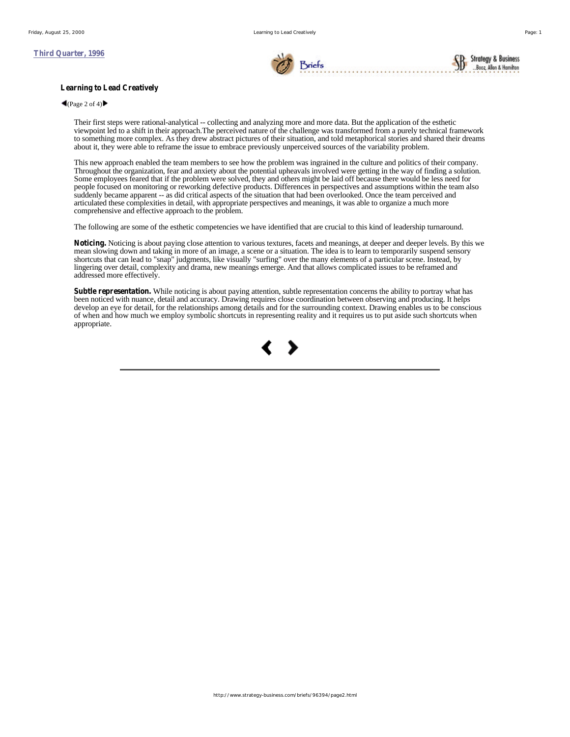## **Third Quarter, 1996**



## **Learning to Lead Creatively**

#### $\blacktriangleleft$ (Page 2 of 4) $\blacktriangleright$

Their first steps were rational-analytical -- collecting and analyzing more and more data. But the application of the esthetic viewpoint led to a shift in their approach.The perceived nature of the challenge was transformed from a purely technical framework to something more complex. As they drew abstract pictures of their situation, and told metaphorical stories and shared their dreams about it, they were able to reframe the issue to embrace previously unperceived sources of the variability problem.

This new approach enabled the team members to see how the problem was ingrained in the culture and politics of their company. Throughout the organization, fear and anxiety about the potential upheavals involved were getting in the way of finding a solution. Some employees feared that if the problem were solved, they and others might be laid off because there would be less need for people focused on monitoring or reworking defective products. Differences in perspectives and assumptions within the team also suddenly became apparent -- as did critical aspects of the situation that had been overlooked. Once the team perceived and articulated these complexities in detail, with appropriate perspectives and meanings, it was able to organize a much more comprehensive and effective approach to the problem.

The following are some of the esthetic competencies we have identified that are crucial to this kind of leadership turnaround.

**Noticing.** Noticing is about paying close attention to various textures, facets and meanings, at deeper and deeper levels. By this we mean slowing down and taking in more of an image, a scene or a situation. The idea is to learn to temporarily suspend sensory shortcuts that can lead to "snap" judgments, like visually "surfing" over the many elements of a particular scene. Instead, by lingering over detail, complexity and drama, new meanings emerge. And that allows complicated issues to be reframed and addressed more effectively.

**Subtle representation.** While noticing is about paying attention, subtle representation concerns the ability to portray what has been noticed with nuance, detail and accuracy. Drawing requires close coordination between observing and producing. It helps develop an eye for detail, for the relationships among details and for the surrounding context. Drawing enables us to be conscious of when and how much we employ symbolic shortcuts in representing reality and it requires us to put aside such shortcuts when appropriate.

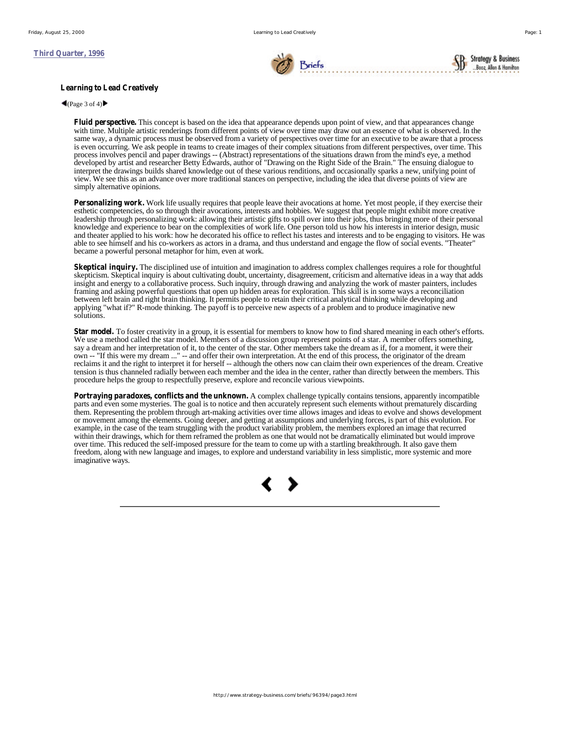

**Strategy & Business** 

Booz, Allen & Hamit

### **Learning to Lead Creatively**

# $\bigcap$  (Page 3 of 4)

**Fluid perspective.** This concept is based on the idea that appearance depends upon point of view, and that appearances change with time. Multiple artistic renderings from different points of view over time may draw out an essence of what is observed. In the same way, a dynamic process must be observed from a variety of perspectives over time for an executive to be aware that a process is even occurring. We ask people in teams to create images of their complex situations from different perspectives, over time. This process involves pencil and paper drawings -- (Abstract) representations of the situations drawn from the mind's eye, a method developed by artist and researcher Betty Edwards, author of "Drawing on the Right Side of the Brain." The ensuing dialogue to interpret the drawings builds shared knowledge out of these various renditions, and occasionally sparks a new, unifying point of view. We see this as an advance over more traditional stances on perspective, including the idea that diverse points of view are simply alternative opinions.

**Personalizing work.** Work life usually requires that people leave their avocations at home. Yet most people, if they exercise their esthetic competencies, do so through their avocations, interests and hobbies. We suggest that people might exhibit more creative leadership through personalizing work: allowing their artistic gifts to spill over into their jobs, thus bringing more of their personal knowledge and experience to bear on the complexities of work life. One person told us how his interests in interior design, music and theater applied to his work: how he decorated his office to reflect his tastes and interests and to be engaging to visitors. He was able to see himself and his co-workers as actors in a drama, and thus understand and engage the flow of social events. "Theater" became a powerful personal metaphor for him, even at work.

**Skeptical inquiry.** The disciplined use of intuition and imagination to address complex challenges requires a role for thoughtful skepticism. Skeptical inquiry is about cultivating doubt, uncertainty, disagreement, criticism and alternative ideas in a way that adds insight and energy to a collaborative process. Such inquiry, through drawing and analyzing the work of master painters, includes framing and asking powerful questions that open up hidden areas for exploration. This skill is in some ways a reconciliation between left brain and right brain thinking. It permits people to retain their critical analytical thinking while developing and applying "what if?" R-mode thinking. The payoff is to perceive new aspects of a problem and to produce imaginative new solutions.

**Star model.** To foster creativity in a group, it is essential for members to know how to find shared meaning in each other's efforts. We use a method called the star model. Members of a discussion group represent points of a star. A member offers something, say a dream and her interpretation of it, to the center of the star. Other members take the dream as if, for a moment, it were their own -- "If this were my dream ..." -- and offer their own interpretation. At the end of this process, the originator of the dream reclaims it and the right to interpret it for herself -- although the others now can claim their own experiences of the dream. Creative tension is thus channeled radially between each member and the idea in the center, rather than directly between the members. This procedure helps the group to respectfully preserve, explore and reconcile various viewpoints.

**Portraying paradoxes, conflicts and the unknown.** A complex challenge typically contains tensions, apparently incompatible parts and even some mysteries. The goal is to notice and then accurately represent such elements without prematurely discarding them. Representing the problem through art-making activities over time allows images and ideas to evolve and shows development or movement among the elements. Going deeper, and getting at assumptions and underlying forces, is part of this evolution. For example, in the case of the team struggling with the product variability problem, the members explored an image that recurred within their drawings, which for them reframed the problem as one that would not be dramatically eliminated but would improve over time. This reduced the self-imposed pressure for the team to come up with a startling breakthrough. It also gave them freedom, along with new language and images, to explore and understand variability in less simplistic, more systemic and more imaginative ways.